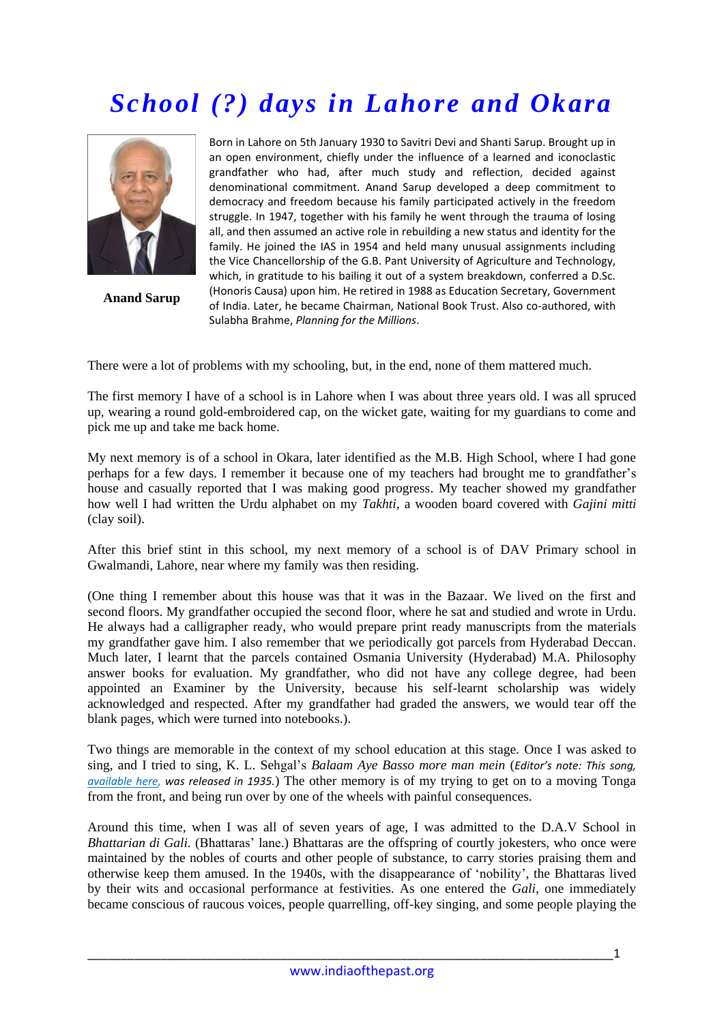## *School (?) days in Lahore and Okara*



**Anand Sarup**

Born in Lahore on 5th January 1930 to Savitri Devi and Shanti Sarup. Brought up in an open environment, chiefly under the influence of a learned and iconoclastic grandfather who had, after much study and reflection, decided against denominational commitment. Anand Sarup developed a deep commitment to democracy and freedom because his family participated actively in the freedom struggle. In 1947, together with his family he went through the trauma of losing all, and then assumed an active role in rebuilding a new status and identity for the family. He joined the IAS in 1954 and held many unusual assignments including the Vice Chancellorship of the G.B. Pant University of Agriculture and Technology, which, in gratitude to his bailing it out of a system breakdown, conferred a D.Sc. (Honoris Causa) upon him. He retired in 1988 as Education Secretary, Government of India. Later, he became Chairman, National Book Trust. Also co-authored, with Sulabha Brahme, *Planning for the Millions*.

There were a lot of problems with my schooling, but, in the end, none of them mattered much.

The first memory I have of a school is in Lahore when I was about three years old. I was all spruced up, wearing a round gold-embroidered cap, on the wicket gate, waiting for my guardians to come and pick me up and take me back home.

My next memory is of a school in Okara, later identified as the M.B. High School, where I had gone perhaps for a few days. I remember it because one of my teachers had brought me to grandfather"s house and casually reported that I was making good progress. My teacher showed my grandfather how well I had written the Urdu alphabet on my *Takhti*, a wooden board covered with *Gajini mitti* (clay soil).

After this brief stint in this school, my next memory of a school is of DAV Primary school in Gwalmandi, Lahore, near where my family was then residing.

(One thing I remember about this house was that it was in the Bazaar. We lived on the first and second floors. My grandfather occupied the second floor, where he sat and studied and wrote in Urdu. He always had a calligrapher ready, who would prepare print ready manuscripts from the materials my grandfather gave him. I also remember that we periodically got parcels from Hyderabad Deccan. Much later, I learnt that the parcels contained Osmania University (Hyderabad) M.A. Philosophy answer books for evaluation. My grandfather, who did not have any college degree, had been appointed an Examiner by the University, because his self-learnt scholarship was widely acknowledged and respected. After my grandfather had graded the answers, we would tear off the blank pages, which were turned into notebooks.).

Two things are memorable in the context of my school education at this stage. Once I was asked to sing, and I tried to sing, K. L. Sehgal"s *Balaam Aye Basso more man mein* (*Editor's note: This song, [available here,](http://www.youtube.com/watch?v=QwIOm0OnCzI) was released in 1935.*) The other memory is of my trying to get on to a moving Tonga from the front, and being run over by one of the wheels with painful consequences.

Around this time, when I was all of seven years of age, I was admitted to the D.A.V School in *Bhattarian di Gali.* (Bhattaras' lane.) Bhattaras are the offspring of courtly jokesters, who once were maintained by the nobles of courts and other people of substance, to carry stories praising them and otherwise keep them amused. In the 1940s, with the disappearance of "nobility", the Bhattaras lived by their wits and occasional performance at festivities. As one entered the *Gali*, one immediately became conscious of raucous voices, people quarrelling, off-key singing, and some people playing the

\_\_\_\_\_\_\_\_\_\_\_\_\_\_\_\_\_\_\_\_\_\_\_\_\_\_\_\_\_\_\_\_\_\_\_\_\_\_\_\_\_\_\_\_\_\_\_\_\_\_\_\_\_\_\_\_\_\_\_\_\_\_\_\_\_\_\_\_\_\_\_\_\_\_\_\_\_\_\_1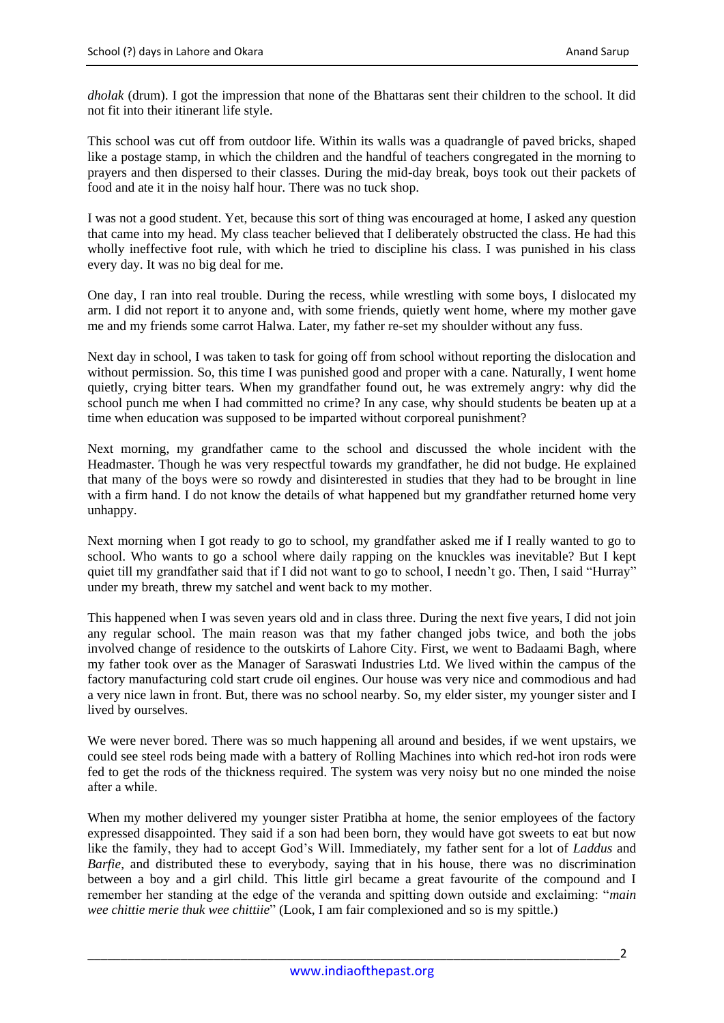*dholak* (drum). I got the impression that none of the Bhattaras sent their children to the school. It did not fit into their itinerant life style.

This school was cut off from outdoor life. Within its walls was a quadrangle of paved bricks, shaped like a postage stamp, in which the children and the handful of teachers congregated in the morning to prayers and then dispersed to their classes. During the mid-day break, boys took out their packets of food and ate it in the noisy half hour. There was no tuck shop.

I was not a good student. Yet, because this sort of thing was encouraged at home, I asked any question that came into my head. My class teacher believed that I deliberately obstructed the class. He had this wholly ineffective foot rule, with which he tried to discipline his class. I was punished in his class every day. It was no big deal for me.

One day, I ran into real trouble. During the recess, while wrestling with some boys, I dislocated my arm. I did not report it to anyone and, with some friends, quietly went home, where my mother gave me and my friends some carrot Halwa. Later, my father re-set my shoulder without any fuss.

Next day in school, I was taken to task for going off from school without reporting the dislocation and without permission. So, this time I was punished good and proper with a cane. Naturally, I went home quietly, crying bitter tears. When my grandfather found out, he was extremely angry: why did the school punch me when I had committed no crime? In any case, why should students be beaten up at a time when education was supposed to be imparted without corporeal punishment?

Next morning, my grandfather came to the school and discussed the whole incident with the Headmaster. Though he was very respectful towards my grandfather, he did not budge. He explained that many of the boys were so rowdy and disinterested in studies that they had to be brought in line with a firm hand. I do not know the details of what happened but my grandfather returned home very unhappy.

Next morning when I got ready to go to school, my grandfather asked me if I really wanted to go to school. Who wants to go a school where daily rapping on the knuckles was inevitable? But I kept quiet till my grandfather said that if I did not want to go to school, I needn't go. Then, I said "Hurray" under my breath, threw my satchel and went back to my mother.

This happened when I was seven years old and in class three. During the next five years, I did not join any regular school. The main reason was that my father changed jobs twice, and both the jobs involved change of residence to the outskirts of Lahore City. First, we went to Badaami Bagh, where my father took over as the Manager of Saraswati Industries Ltd. We lived within the campus of the factory manufacturing cold start crude oil engines. Our house was very nice and commodious and had a very nice lawn in front. But, there was no school nearby. So, my elder sister, my younger sister and I lived by ourselves.

We were never bored. There was so much happening all around and besides, if we went upstairs, we could see steel rods being made with a battery of Rolling Machines into which red-hot iron rods were fed to get the rods of the thickness required. The system was very noisy but no one minded the noise after a while.

When my mother delivered my younger sister Pratibha at home, the senior employees of the factory expressed disappointed. They said if a son had been born, they would have got sweets to eat but now like the family, they had to accept God"s Will. Immediately, my father sent for a lot of *Laddus* and *Barfie*, and distributed these to everybody, saying that in his house, there was no discrimination between a boy and a girl child. This little girl became a great favourite of the compound and I remember her standing at the edge of the veranda and spitting down outside and exclaiming: "*main wee chittie merie thuk wee chittiie*" (Look, I am fair complexioned and so is my spittle.)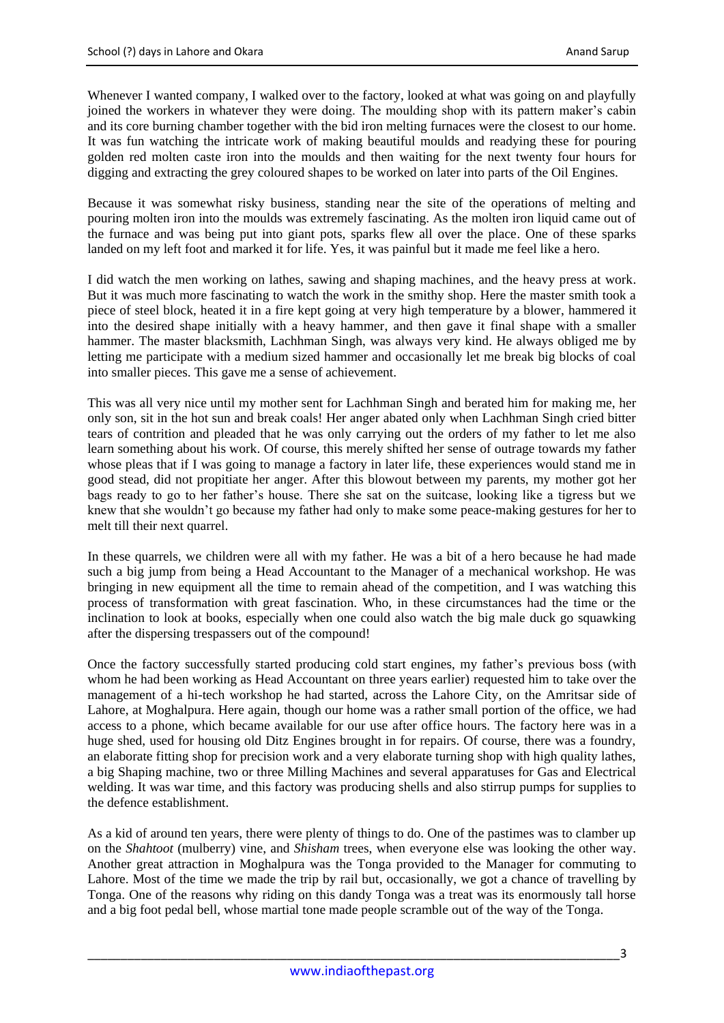Whenever I wanted company, I walked over to the factory, looked at what was going on and playfully joined the workers in whatever they were doing. The moulding shop with its pattern maker's cabin and its core burning chamber together with the bid iron melting furnaces were the closest to our home. It was fun watching the intricate work of making beautiful moulds and readying these for pouring golden red molten caste iron into the moulds and then waiting for the next twenty four hours for digging and extracting the grey coloured shapes to be worked on later into parts of the Oil Engines.

Because it was somewhat risky business, standing near the site of the operations of melting and pouring molten iron into the moulds was extremely fascinating. As the molten iron liquid came out of the furnace and was being put into giant pots, sparks flew all over the place. One of these sparks landed on my left foot and marked it for life. Yes, it was painful but it made me feel like a hero.

I did watch the men working on lathes, sawing and shaping machines, and the heavy press at work. But it was much more fascinating to watch the work in the smithy shop. Here the master smith took a piece of steel block, heated it in a fire kept going at very high temperature by a blower, hammered it into the desired shape initially with a heavy hammer, and then gave it final shape with a smaller hammer. The master blacksmith, Lachhman Singh, was always very kind. He always obliged me by letting me participate with a medium sized hammer and occasionally let me break big blocks of coal into smaller pieces. This gave me a sense of achievement.

This was all very nice until my mother sent for Lachhman Singh and berated him for making me, her only son, sit in the hot sun and break coals! Her anger abated only when Lachhman Singh cried bitter tears of contrition and pleaded that he was only carrying out the orders of my father to let me also learn something about his work. Of course, this merely shifted her sense of outrage towards my father whose pleas that if I was going to manage a factory in later life, these experiences would stand me in good stead, did not propitiate her anger. After this blowout between my parents, my mother got her bags ready to go to her father"s house. There she sat on the suitcase, looking like a tigress but we knew that she wouldn"t go because my father had only to make some peace-making gestures for her to melt till their next quarrel.

In these quarrels, we children were all with my father. He was a bit of a hero because he had made such a big jump from being a Head Accountant to the Manager of a mechanical workshop. He was bringing in new equipment all the time to remain ahead of the competition, and I was watching this process of transformation with great fascination. Who, in these circumstances had the time or the inclination to look at books, especially when one could also watch the big male duck go squawking after the dispersing trespassers out of the compound!

Once the factory successfully started producing cold start engines, my father"s previous boss (with whom he had been working as Head Accountant on three years earlier) requested him to take over the management of a hi-tech workshop he had started, across the Lahore City, on the Amritsar side of Lahore, at Moghalpura. Here again, though our home was a rather small portion of the office, we had access to a phone, which became available for our use after office hours. The factory here was in a huge shed, used for housing old Ditz Engines brought in for repairs. Of course, there was a foundry, an elaborate fitting shop for precision work and a very elaborate turning shop with high quality lathes, a big Shaping machine, two or three Milling Machines and several apparatuses for Gas and Electrical welding. It was war time, and this factory was producing shells and also stirrup pumps for supplies to the defence establishment.

As a kid of around ten years, there were plenty of things to do. One of the pastimes was to clamber up on the *Shahtoot* (mulberry) vine, and *Shisham* trees, when everyone else was looking the other way. Another great attraction in Moghalpura was the Tonga provided to the Manager for commuting to Lahore. Most of the time we made the trip by rail but, occasionally, we got a chance of travelling by Tonga. One of the reasons why riding on this dandy Tonga was a treat was its enormously tall horse and a big foot pedal bell, whose martial tone made people scramble out of the way of the Tonga.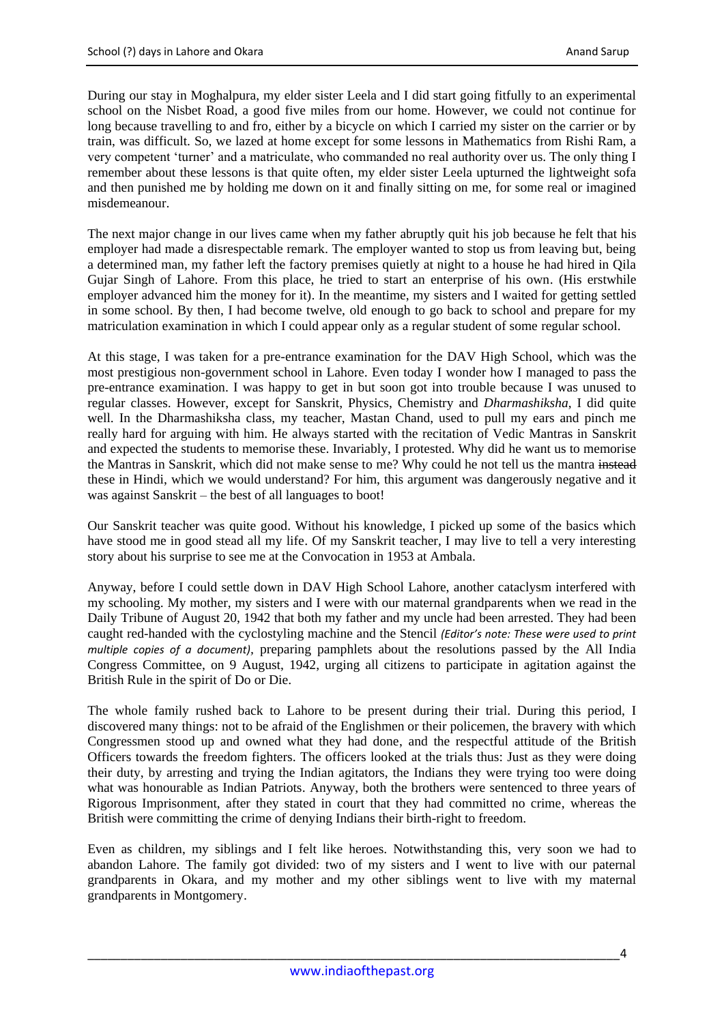During our stay in Moghalpura, my elder sister Leela and I did start going fitfully to an experimental school on the Nisbet Road, a good five miles from our home. However, we could not continue for long because travelling to and fro, either by a bicycle on which I carried my sister on the carrier or by train, was difficult. So, we lazed at home except for some lessons in Mathematics from Rishi Ram, a very competent "turner" and a matriculate, who commanded no real authority over us. The only thing I remember about these lessons is that quite often, my elder sister Leela upturned the lightweight sofa and then punished me by holding me down on it and finally sitting on me, for some real or imagined misdemeanour.

The next major change in our lives came when my father abruptly quit his job because he felt that his employer had made a disrespectable remark. The employer wanted to stop us from leaving but, being a determined man, my father left the factory premises quietly at night to a house he had hired in Qila Gujar Singh of Lahore. From this place, he tried to start an enterprise of his own. (His erstwhile employer advanced him the money for it). In the meantime, my sisters and I waited for getting settled in some school. By then, I had become twelve, old enough to go back to school and prepare for my matriculation examination in which I could appear only as a regular student of some regular school.

At this stage, I was taken for a pre-entrance examination for the DAV High School, which was the most prestigious non-government school in Lahore. Even today I wonder how I managed to pass the pre-entrance examination. I was happy to get in but soon got into trouble because I was unused to regular classes. However, except for Sanskrit, Physics, Chemistry and *Dharmashiksha*, I did quite well. In the Dharmashiksha class, my teacher, Mastan Chand, used to pull my ears and pinch me really hard for arguing with him. He always started with the recitation of Vedic Mantras in Sanskrit and expected the students to memorise these. Invariably, I protested. Why did he want us to memorise the Mantras in Sanskrit, which did not make sense to me? Why could he not tell us the mantra instead these in Hindi, which we would understand? For him, this argument was dangerously negative and it was against Sanskrit – the best of all languages to boot!

Our Sanskrit teacher was quite good. Without his knowledge, I picked up some of the basics which have stood me in good stead all my life. Of my Sanskrit teacher, I may live to tell a very interesting story about his surprise to see me at the Convocation in 1953 at Ambala.

Anyway, before I could settle down in DAV High School Lahore, another cataclysm interfered with my schooling. My mother, my sisters and I were with our maternal grandparents when we read in the Daily Tribune of August 20, 1942 that both my father and my uncle had been arrested. They had been caught red-handed with the cyclostyling machine and the Stencil *(Editor's note: These were used to print multiple copies of a document),* preparing pamphlets about the resolutions passed by the All India Congress Committee, on 9 August, 1942, urging all citizens to participate in agitation against the British Rule in the spirit of Do or Die.

The whole family rushed back to Lahore to be present during their trial. During this period, I discovered many things: not to be afraid of the Englishmen or their policemen, the bravery with which Congressmen stood up and owned what they had done, and the respectful attitude of the British Officers towards the freedom fighters. The officers looked at the trials thus: Just as they were doing their duty, by arresting and trying the Indian agitators, the Indians they were trying too were doing what was honourable as Indian Patriots. Anyway, both the brothers were sentenced to three years of Rigorous Imprisonment, after they stated in court that they had committed no crime, whereas the British were committing the crime of denying Indians their birth-right to freedom.

Even as children, my siblings and I felt like heroes. Notwithstanding this, very soon we had to abandon Lahore. The family got divided: two of my sisters and I went to live with our paternal grandparents in Okara, and my mother and my other siblings went to live with my maternal grandparents in Montgomery.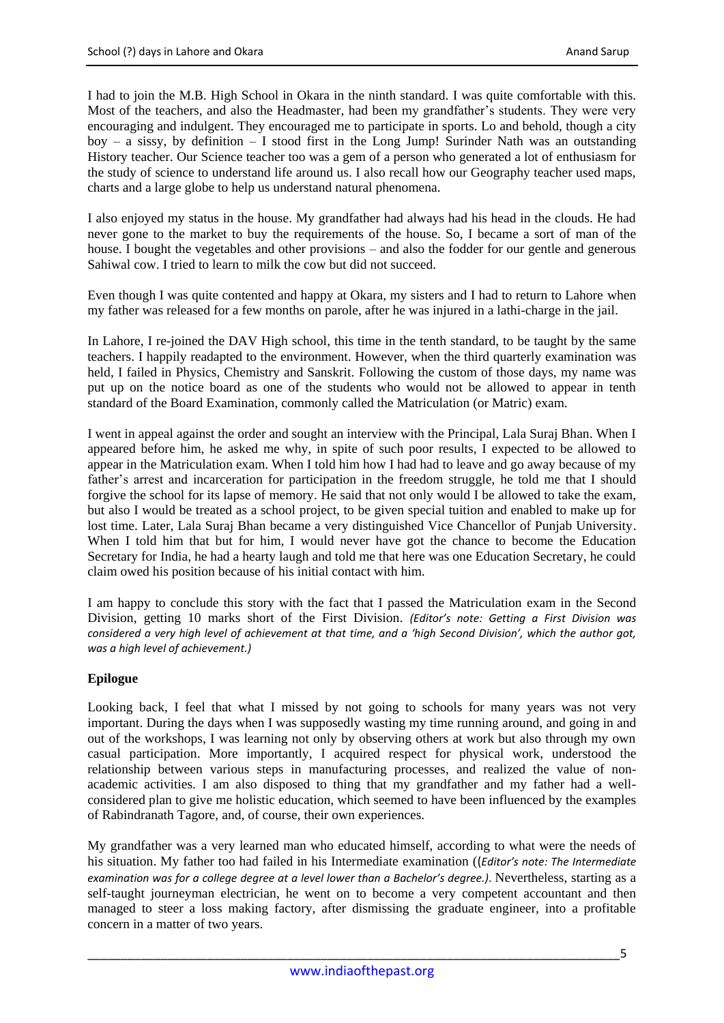I had to join the M.B. High School in Okara in the ninth standard. I was quite comfortable with this. Most of the teachers, and also the Headmaster, had been my grandfather"s students. They were very encouraging and indulgent. They encouraged me to participate in sports. Lo and behold, though a city  $boy - a$  sissy, by definition – I stood first in the Long Jump! Surinder Nath was an outstanding History teacher. Our Science teacher too was a gem of a person who generated a lot of enthusiasm for the study of science to understand life around us. I also recall how our Geography teacher used maps, charts and a large globe to help us understand natural phenomena.

I also enjoyed my status in the house. My grandfather had always had his head in the clouds. He had never gone to the market to buy the requirements of the house. So, I became a sort of man of the house. I bought the vegetables and other provisions – and also the fodder for our gentle and generous Sahiwal cow. I tried to learn to milk the cow but did not succeed.

Even though I was quite contented and happy at Okara, my sisters and I had to return to Lahore when my father was released for a few months on parole, after he was injured in a lathi-charge in the jail.

In Lahore, I re-joined the DAV High school, this time in the tenth standard, to be taught by the same teachers. I happily readapted to the environment. However, when the third quarterly examination was held, I failed in Physics, Chemistry and Sanskrit. Following the custom of those days, my name was put up on the notice board as one of the students who would not be allowed to appear in tenth standard of the Board Examination, commonly called the Matriculation (or Matric) exam.

I went in appeal against the order and sought an interview with the Principal, Lala Suraj Bhan. When I appeared before him, he asked me why, in spite of such poor results, I expected to be allowed to appear in the Matriculation exam. When I told him how I had had to leave and go away because of my father's arrest and incarceration for participation in the freedom struggle, he told me that I should forgive the school for its lapse of memory. He said that not only would I be allowed to take the exam, but also I would be treated as a school project, to be given special tuition and enabled to make up for lost time. Later, Lala Suraj Bhan became a very distinguished Vice Chancellor of Punjab University. When I told him that but for him, I would never have got the chance to become the Education Secretary for India, he had a hearty laugh and told me that here was one Education Secretary, he could claim owed his position because of his initial contact with him.

I am happy to conclude this story with the fact that I passed the Matriculation exam in the Second Division, getting 10 marks short of the First Division. *(Editor's note: Getting a First Division was considered a very high level of achievement at that time, and a 'high Second Division', which the author got, was a high level of achievement.)*

## **Epilogue**

Looking back, I feel that what I missed by not going to schools for many years was not very important. During the days when I was supposedly wasting my time running around, and going in and out of the workshops, I was learning not only by observing others at work but also through my own casual participation. More importantly, I acquired respect for physical work, understood the relationship between various steps in manufacturing processes, and realized the value of nonacademic activities. I am also disposed to thing that my grandfather and my father had a wellconsidered plan to give me holistic education, which seemed to have been influenced by the examples of Rabindranath Tagore, and, of course, their own experiences.

My grandfather was a very learned man who educated himself, according to what were the needs of his situation. My father too had failed in his Intermediate examination ((*Editor's note: The Intermediate examination was for a college degree at a level lower than a Bachelor's degree.)*. Nevertheless, starting as a self-taught journeyman electrician, he went on to become a very competent accountant and then managed to steer a loss making factory, after dismissing the graduate engineer, into a profitable concern in a matter of two years.